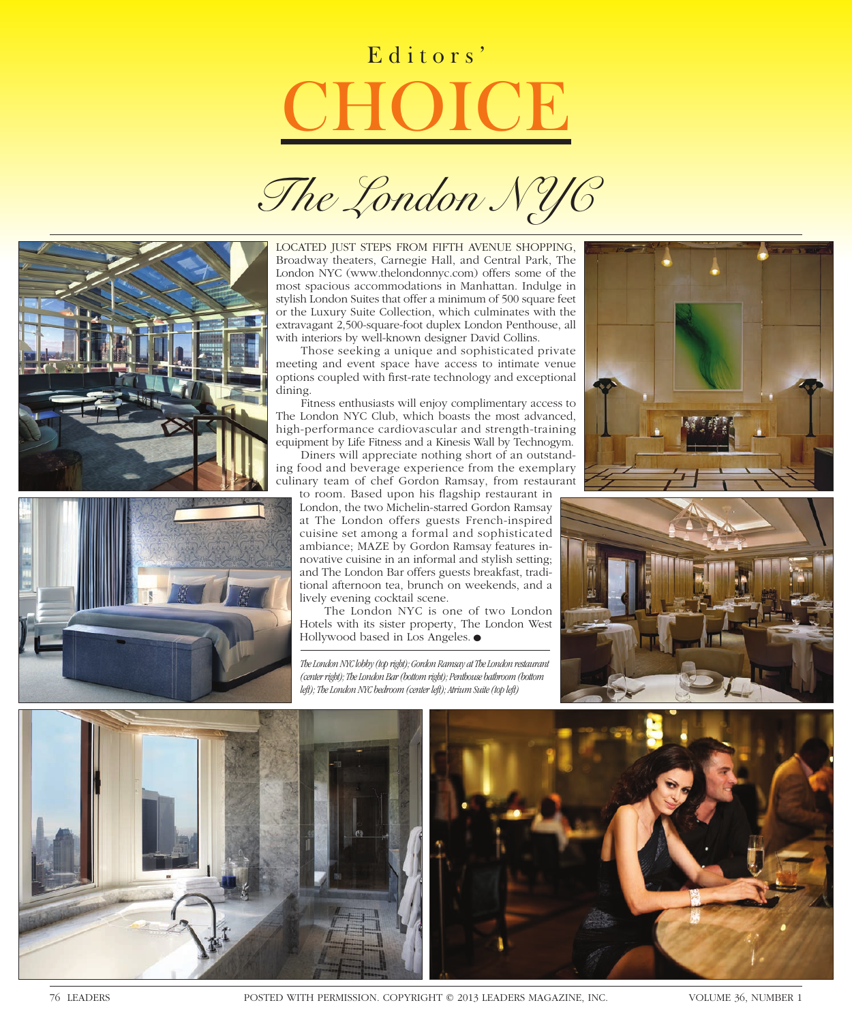## Editors' **CHOICE**







LOCATED JUST STEPS FROM FIFTH AVENUE SHOPPING, Broadway theaters, Carnegie Hall, and Central Park, The London NYC (www.thelondonnyc.com) offers some of the most spacious accommodations in Manhattan. Indulge in stylish London Suites that offer a minimum of 500 square feet or the Luxury Suite Collection, which culminates with the extravagant 2,500-square-foot duplex London Penthouse, all with interiors by well-known designer David Collins.

Those seeking a unique and sophisticated private meeting and event space have access to intimate venue options coupled with first-rate technology and exceptional dining.

Fitness enthusiasts will enjoy complimentary access to The London NYC Club, which boasts the most advanced, high-performance cardiovascular and strength-training equipment by Life Fitness and a Kinesis Wall by Technogym.

Diners will appreciate nothing short of an outstanding food and beverage experience from the exemplary culinary team of chef Gordon Ramsay, from restaurant

to room. Based upon his flagship restaurant in London, the two Michelin-starred Gordon Ramsay at The London offers guests French-inspired cuisine set among a formal and sophisticated ambiance; MAZE by Gordon Ramsay features innovative cuisine in an informal and stylish setting; and The London Bar offers guests breakfast, traditional afternoon tea, brunch on weekends, and a lively evening cocktail scene.

The London NYC is one of two London Hotels with its sister property, The London West Hollywood based in Los Angeles. ●

*The London NYC lobby (top right); Gordon Ramsay at The London restaurant (center right); The London Bar (bottom right); Penthouse bathroom (bottom left); The London NYC bedroom (center left); Atrium Suite (top left)*







76 LEADERS POSTED WITH PERMISSION. COPYRIGHT © 2013 LEADERS MAGAZINE, INC. VOLUME 36, NUMBER 1